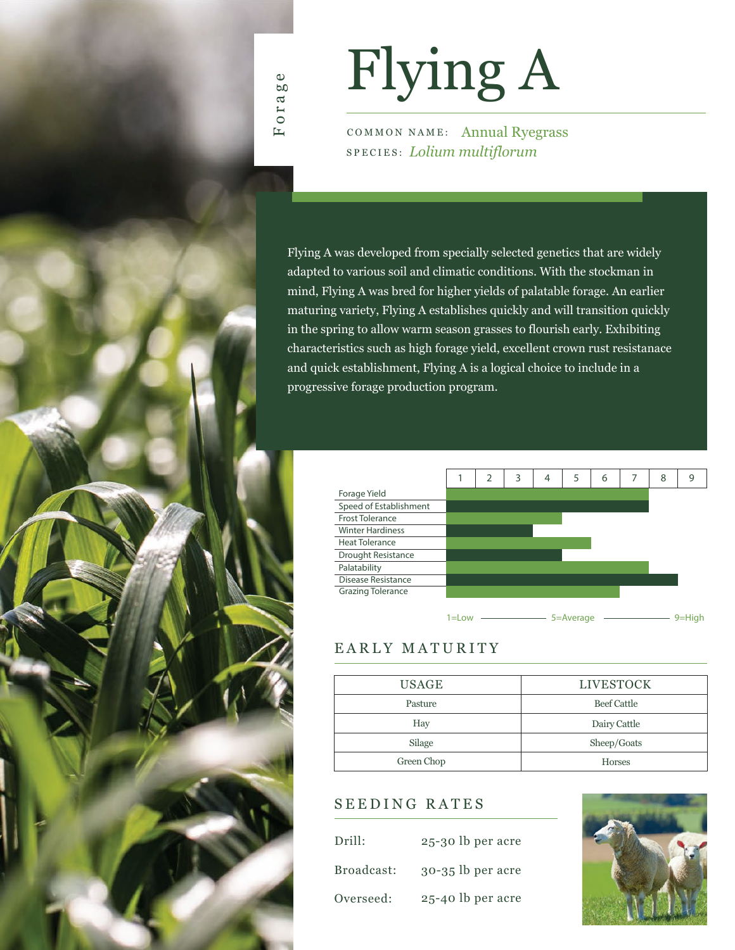

# Flying A

COMMON NAME: Annual Ryegrass SPECIES: *Lolium multiflorum*

Flying A was developed from specially selected genetics that are widely adapted to various soil and climatic conditions. With the stockman in mind, Flying A was bred for higher yields of palatable forage. An earlier maturing variety, Flying A establishes quickly and will transition quickly in the spring to allow warm season grasses to flourish early. Exhibiting characteristics such as high forage yield, excellent crown rust resistanace and quick establishment, Flying A is a logical choice to include in a progressive forage production program.



#### EARLY MATURITY

| <b>USAGE</b> | <b>LIVESTOCK</b> |
|--------------|------------------|
| Pasture      | Beef Cattle      |
| Hay          | Dairy Cattle     |
| Silage       | Sheep/Goats      |
| Green Chop   | <b>Horses</b>    |

#### SEEDING RATES

| Drill:     | 25-30 lb per acre   |
|------------|---------------------|
| Broadcast: | $30-35$ lb per acre |
| Overseed:  | 25-40 lb per acre   |